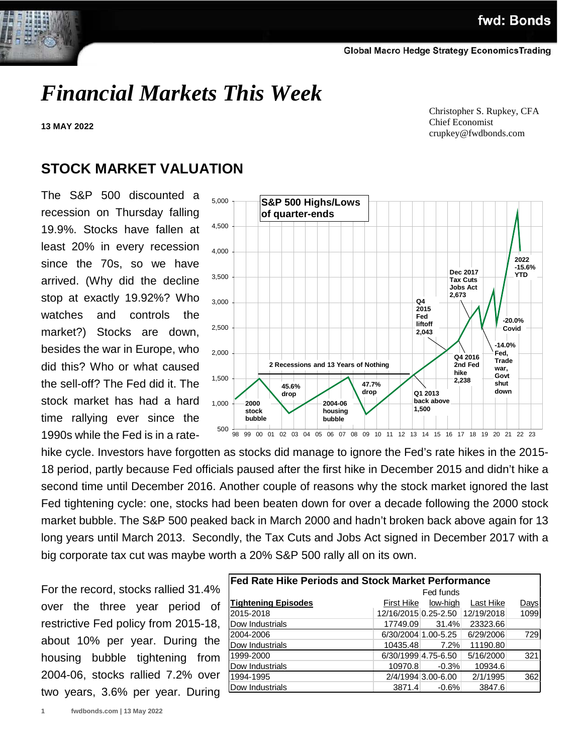# *Financial Markets This Week*

**13 MAY 2022**

 Christopher S. Rupkey, CFA Chief Economist crupkey@fwdbonds.com

### **STOCK MARKET VALUATION**

The S&P 500 discounted a recession on Thursday falling 19.9%. Stocks have fallen at least 20% in every recession since the 70s, so we have arrived. (Why did the decline stop at exactly 19.92%? Who watches and controls the market?) Stocks are down, besides the war in Europe, who did this? Who or what caused the sell-off? The Fed did it. The stock market has had a hard time rallying ever since the 1990s while the Fed is in a rate-



hike cycle. Investors have forgotten as stocks did manage to ignore the Fed's rate hikes in the 2015- 18 period, partly because Fed officials paused after the first hike in December 2015 and didn't hike a second time until December 2016. Another couple of reasons why the stock market ignored the last Fed tightening cycle: one, stocks had been beaten down for over a decade following the 2000 stock market bubble. The S&P 500 peaked back in March 2000 and hadn't broken back above again for 13 long years until March 2013. Secondly, the Tax Cuts and Jobs Act signed in December 2017 with a big corporate tax cut was maybe worth a 20% S&P 500 rally all on its own.

For the record, stocks rallied 31.4% over the three year period of restrictive Fed policy from 2015-18, about 10% per year. During the housing bubble tightening from 2004-06, stocks rallied 7.2% over two years, 3.6% per year. During

| <b>Fed Rate Hike Periods and Stock Market Performance</b> |                      |                     |            |             |  |  |  |
|-----------------------------------------------------------|----------------------|---------------------|------------|-------------|--|--|--|
|                                                           |                      | Fed funds           |            |             |  |  |  |
| <b>Tightening Episodes</b>                                | First Hike           | low-high            | Last Hike  | <u>Days</u> |  |  |  |
| 2015-2018                                                 | 12/16/2015 0.25-2.50 |                     | 12/19/2018 | 1099        |  |  |  |
| Dow Industrials                                           | 17749.09             | 31.4%               | 23323.66   |             |  |  |  |
| 2004-2006                                                 |                      | 6/30/2004 1.00-5.25 | 6/29/2006  | 729         |  |  |  |
| Dow Industrials                                           | 10435.48             | 7.2%                | 11190.80   |             |  |  |  |
| 1999-2000                                                 | 6/30/1999 4.75-6.50  |                     | 5/16/2000  | 321         |  |  |  |
| Dow Industrials                                           | 10970.8              | $-0.3%$             | 10934.6    |             |  |  |  |
| 1994-1995                                                 |                      | 2/4/1994 3.00-6.00  | 2/1/1995   | 362         |  |  |  |
| Dow Industrials                                           | 3871.4               | $-0.6%$             | 3847.6     |             |  |  |  |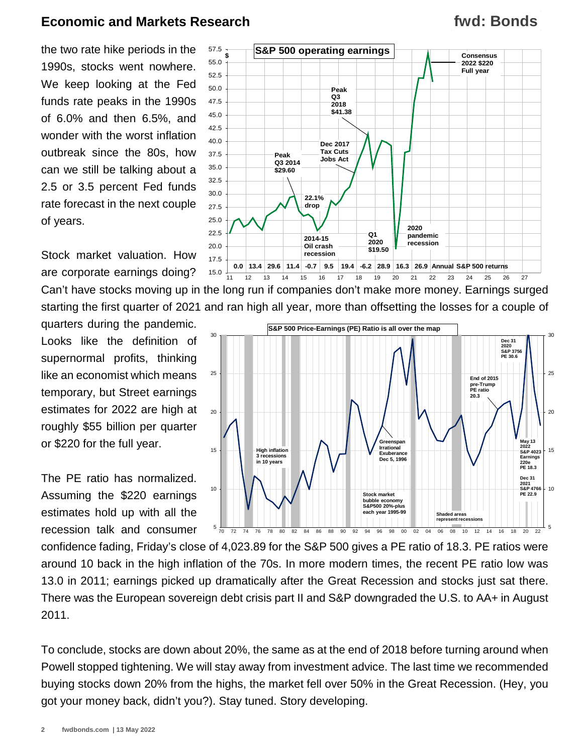## **fwd: Bonds**

the two rate hike periods in the 1990s, stocks went nowhere. We keep looking at the Fed funds rate peaks in the 1990s of 6.0% and then 6.5%, and wonder with the worst inflation outbreak since the 80s, how can we still be talking about a 2.5 or 3.5 percent Fed funds rate forecast in the next couple of years.

Stock market valuation. How are corporate earnings doing?

quarters during the pandemic. Looks like the definition of supernormal profits, thinking like an economist which means temporary, but Street earnings estimates for 2022 are high at roughly \$55 billion per quarter or \$220 for the full year.

The PE ratio has normalized. Assuming the \$220 earnings estimates hold up with all the recession talk and consumer



Can't have stocks moving up in the long run if companies don't make more money. Earnings surged starting the first quarter of 2021 and ran high all year, more than offsetting the losses for a couple of



confidence fading, Friday's close of 4,023.89 for the S&P 500 gives a PE ratio of 18.3. PE ratios were around 10 back in the high inflation of the 70s. In more modern times, the recent PE ratio low was 13.0 in 2011; earnings picked up dramatically after the Great Recession and stocks just sat there. There was the European sovereign debt crisis part II and S&P downgraded the U.S. to AA+ in August 2011.

To conclude, stocks are down about 20%, the same as at the end of 2018 before turning around when Powell stopped tightening. We will stay away from investment advice. The last time we recommended buying stocks down 20% from the highs, the market fell over 50% in the Great Recession. (Hey, you got your money back, didn't you?). Stay tuned. Story developing.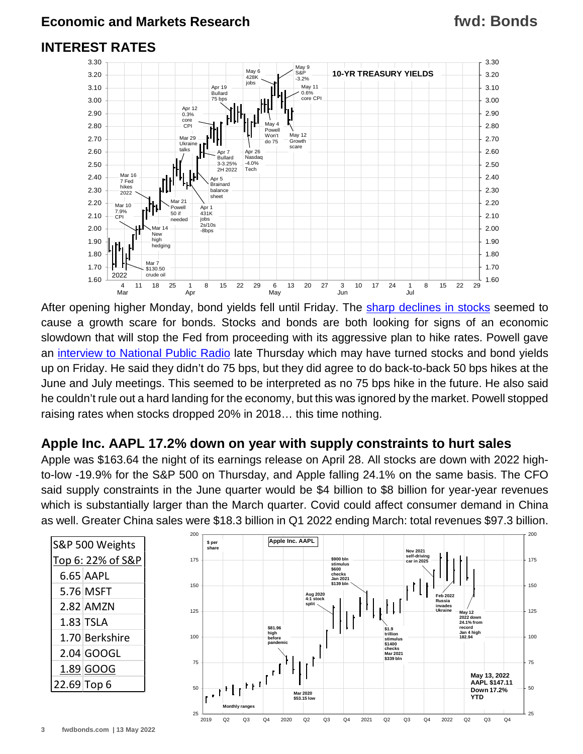## **fwd: Bonds**

#### **INTEREST RATES**



After opening higher Monday, bond yields fell until Friday. The [sharp declines in stocks](https://www.fwdbonds.com/images/The_Stock_Show_.mp4) seemed to cause a growth scare for bonds. Stocks and bonds are both looking for signs of an economic slowdown that will stop the Fed from proceeding with its aggressive plan to hike rates. Powell gave an [interview to National Public Radio](https://www.marketplace.org/2022/05/12/fed-chair-jerome-powell-controlling-inflation-will-include-some-pain/) late Thursday which may have turned stocks and bond yields up on Friday. He said they didn't do 75 bps, but they did agree to do back-to-back 50 bps hikes at the June and July meetings. This seemed to be interpreted as no 75 bps hike in the future. He also said he couldn't rule out a hard landing for the economy, but this was ignored by the market. Powell stopped raising rates when stocks dropped 20% in 2018… this time nothing.

#### **Apple Inc. AAPL 17.2% down on year with supply constraints to hurt sales**

Apple was \$163.64 the night of its earnings release on April 28. All stocks are down with 2022 highto-low -19.9% for the S&P 500 on Thursday, and Apple falling 24.1% on the same basis. The CFO said supply constraints in the June quarter would be \$4 billion to \$8 billion for year-year revenues which is substantially larger than the March quarter. Covid could affect consumer demand in China as well. Greater China sales were \$18.3 billion in Q1 2022 ending March: total revenues \$97.3 billion.

| S&P 500 Weights   |                |  |  |
|-------------------|----------------|--|--|
| Top 6: 22% of S&P |                |  |  |
|                   | 6.65 AAPL      |  |  |
|                   | 5.76 MSFT      |  |  |
|                   | 2.82 AMZN      |  |  |
|                   | $1.83$ TSLA    |  |  |
|                   | 1.70 Berkshire |  |  |
|                   | 2.04 GOOGL     |  |  |
|                   | 1.89 GOOG      |  |  |
| 22.69 Top 6       |                |  |  |

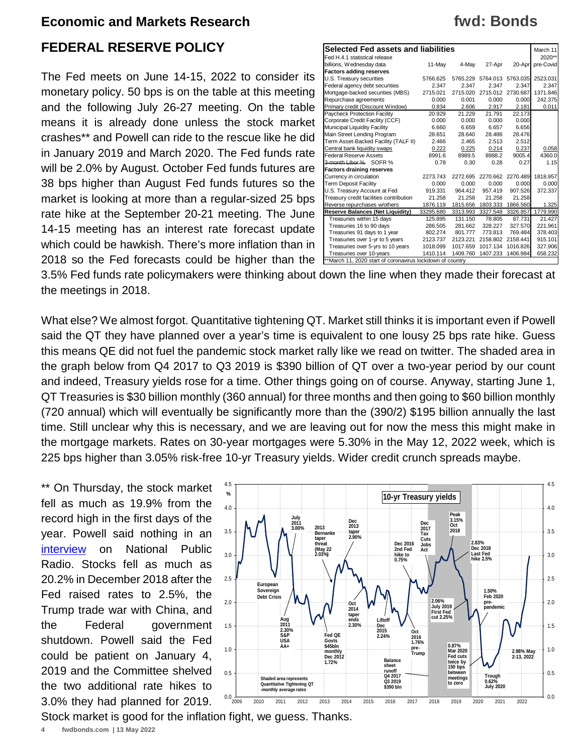#### **FEDERAL RESERVE POLICY**

The Fed meets on June 14-15, 2022 to consider its monetary policy. 50 bps is on the table at this meeting and the following July 26-27 meeting. On the table means it is already done unless the stock market crashes\*\* and Powell can ride to the rescue like he did in January 2019 and March 2020. The Fed funds rate will be 2.0% by August. October Fed funds futures are 38 bps higher than August Fed funds futures so the market is looking at more than a regular-sized 25 bps rate hike at the September 20-21 meeting. The June 14-15 meeting has an interest rate forecast update which could be hawkish. There's more inflation than in 2018 so the Fed forecasts could be higher than the

| Selected Fed assets and liabilities                       |           |          |          |          | March 11  |  |
|-----------------------------------------------------------|-----------|----------|----------|----------|-----------|--|
| Fed H.4.1 statistical release                             |           |          |          |          | 2020**    |  |
| billions, Wednesday data                                  | 11-May    | 4-Mav    | 27-Apr   | 20-Apr   | pre-Covid |  |
| <b>Factors adding reserves</b>                            |           |          |          |          |           |  |
| U.S. Treasury securities                                  | 5766.625  | 5765.229 | 5764.013 | 5763.035 | 2523.031  |  |
| Federal agency debt securities                            | 2.347     | 2.347    | 2.347    | 2.347    | 2.347     |  |
| Mortgage-backed securities (MBS)                          | 2715.021  | 2715.020 | 2715.012 | 2730.687 | 1371.846  |  |
| Repurchase agreements                                     | 0.000     | 0.001    | 0.000    | 0.000    | 242.375   |  |
| Primary credit (Discount Window)                          | 0.834     | 2.606    | 2.917    | 2.181    | 0.011     |  |
| Paycheck Protection Facility                              | 20.929    | 21.229   | 21.791   | 22.173   |           |  |
| Corporate Credit Facility (CCF)                           | 0.000     | 0.000    | 0.000    | 0.000    |           |  |
| Municipal Liquidity Facility                              | 6.660     | 6.659    | 6.657    | 6.656    |           |  |
| Main Street Lending Program                               | 28.651    | 28.640   | 28.486   | 28.476   |           |  |
| Term Asset-Backed Facility (TALF II)                      | 2.466     | 2.465    | 2.513    | 2.512    |           |  |
| Central bank liquidity swaps                              | 0.222     | 0.225    | 0.214    | 0.237    | 0.058     |  |
| <b>Federal Reserve Assets</b>                             | 8991.6    | 8989.5   | 8988.2   | 9005.4   | 4360.0    |  |
| 3-month Libor % SOFR %                                    | 0.78      | 0.30     | 0.28     | 0.27     | 1.15      |  |
| <b>Factors draining reserves</b>                          |           |          |          |          |           |  |
| Currency in circulation                                   | 2273.743  | 2272.695 | 2270.662 | 2270.489 | 1818.957  |  |
| Term Deposit Facility                                     | 0.000     | 0.000    | 0.000    | 0.000    | 0.000     |  |
| U.S. Treasury Account at Fed                              | 919.331   | 964.412  | 957.419  | 907.526  | 372.337   |  |
| Treasury credit facilities contribution                   | 21.258    | 21.258   | 21.258   | 21.258   |           |  |
| Reverse repurchases w/others                              | 1876.119  | 1815.656 | 1803.333 | 1866.560 | 1.325     |  |
| <b>Reserve Balances (Net Liquidity)</b>                   | 33295.680 | 3313.993 | 3327.548 | 3326.857 | 1779.990  |  |
| Treasuries within 15 days                                 | 125.895   | 131.150  | 78.805   | 87.731   | 21.427    |  |
| Treasuries 16 to 90 days                                  | 286.505   | 281.662  | 328.227  | 327.570  | 221.961   |  |
| Treasuries 91 days to 1 year                              | 802.274   | 801.777  | 773.813  | 769.484  | 378.403   |  |
| Treasuries over 1-yr to 5 years                           | 2123.737  | 2123.221 | 2158.802 | 2158.441 | 915.101   |  |
| Treasuries over 5-yrs to 10 years                         | 1018.099  | 1017.659 | 1017.134 | 1016.826 | 327.906   |  |
| Treasuries over 10-years                                  | 1410.114  | 1409.760 | 1407.233 | 1406.984 | 658.232   |  |
| **March 11, 2020 start of coronavirus lockdown of country |           |          |          |          |           |  |

3.5% Fed funds rate policymakers were thinking about down the line when they made their forecast at the meetings in 2018.

What else? We almost forgot. Quantitative tightening QT. Market still thinks it is important even if Powell said the QT they have planned over a year's time is equivalent to one lousy 25 bps rate hike. Guess this means QE did not fuel the pandemic stock market rally like we read on twitter. The shaded area in the graph below from Q4 2017 to Q3 2019 is \$390 billion of QT over a two-year period by our count and indeed, Treasury yields rose for a time. Other things going on of course. Anyway, starting June 1, QT Treasuries is \$30 billion monthly (360 annual) for three months and then going to \$60 billion monthly (720 annual) which will eventually be significantly more than the (390/2) \$195 billion annually the last time. Still unclear why this is necessary, and we are leaving out for now the mess this might make in the mortgage markets. Rates on 30-year mortgages were 5.30% in the May 12, 2022 week, which is 225 bps higher than 3.05% risk-free 10-yr Treasury yields. Wider credit crunch spreads maybe.

\*\* On Thursday, the stock market fell as much as 19.9% from the record high in the first days of the year. Powell said nothing in an [interview](https://www.marketplace.org/2022/05/12/fed-chair-jerome-powell-controlling-inflation-will-include-some-pain/) on National Public Radio. Stocks fell as much as 20.2% in December 2018 after the Fed raised rates to 2.5%, the Trump trade war with China, and the Federal government shutdown. Powell said the Fed could be patient on January 4, 2019 and the Committee shelved the two additional rate hikes to 3.0% they had planned for 2019.



Stock market is good for the inflation fight, we guess. Thanks.

## **fwd: Bonds**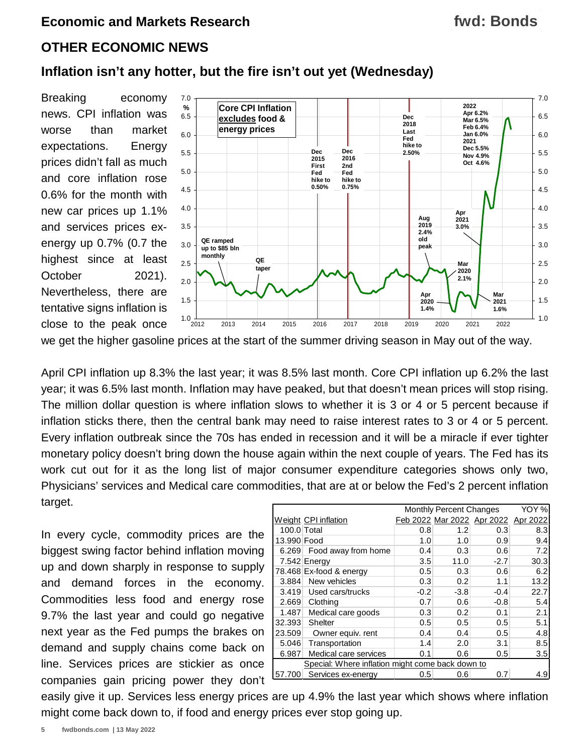#### **fwd: Bonds**

#### **OTHER ECONOMIC NEWS**

#### **Inflation isn't any hotter, but the fire isn't out yet (Wednesday)**

Breaking economy news. CPI inflation was worse than market expectations. Energy prices didn't fall as much and core inflation rose 0.6% for the month with new car prices up 1.1% and services prices exenergy up 0.7% (0.7 the highest since at least October 2021). Nevertheless, there are tentative signs inflation is close to the peak once 1.0 1.5 2.0 2.5 3.0 3.5 4.0 4.5 5.0 5.5 6.0 6.5 7.0  $1.0\frac{1}{2012}$ 1.5 2.0 2.5 3.0 3.5 4.0 4.5 5.0 5.5 6.0 6.5 7.0 2012 2013 2014 2015 2016 2017 2018 2019 2020 2021 2022 **Core CPI Inflation excludes food & energy prices % QE taper QE ramped up to \$85 bln monthly Aug 2019 2.4% old peak Dec 2015 First Fed hike to 0.50% Dec 2018 Last Fed hike to Dec 2.50% 2016 2nd Fed hike to 0.75% Apr 2021 3.0% Mar 2021 1.6% Mar 2020 2.1% Apr 2020 1.4% 2022 Apr 6.2% Mar 6.5% Feb 6.4% Jan 6.0% 2021 Dec 5.5% Nov 4.9% Oct 4.6%**

we get the higher gasoline prices at the start of the summer driving season in May out of the way.

April CPI inflation up 8.3% the last year; it was 8.5% last month. Core CPI inflation up 6.2% the last year; it was 6.5% last month. Inflation may have peaked, but that doesn't mean prices will stop rising. The million dollar question is where inflation slows to whether it is 3 or 4 or 5 percent because if inflation sticks there, then the central bank may need to raise interest rates to 3 or 4 or 5 percent. Every inflation outbreak since the 70s has ended in recession and it will be a miracle if ever tighter monetary policy doesn't bring down the house again within the next couple of years. The Fed has its work cut out for it as the long list of major consumer expenditure categories shows only two, Physicians' services and Medical care commodities, that are at or below the Fed's 2 percent inflation target.

In every cycle, commodity prices are the biggest swing factor behind inflation moving up and down sharply in response to supply and demand forces in the economy. Commodities less food and energy rose 9.7% the last year and could go negative next year as the Fed pumps the brakes on demand and supply chains come back on line. Services prices are stickier as once companies gain pricing power they don't

|                                                  |                         | <b>Monthly Percent Changes</b> | YOY %  |                                     |      |
|--------------------------------------------------|-------------------------|--------------------------------|--------|-------------------------------------|------|
|                                                  | Weight CPI inflation    |                                |        | Feb 2022 Mar 2022 Apr 2022 Apr 2022 |      |
| 100.0 Total                                      |                         | 0.8                            | 1.2    | 0.3                                 | 8.3  |
| 13.990 Food                                      |                         | 1.0                            | 1.0    | 0.9                                 | 9.4  |
| 6.269                                            | Food away from home     | 0.4                            | 0.3    | 0.6                                 | 7.2  |
|                                                  | 7.542 Energy            | 3.5                            | 11.0   | $-2.7$                              | 30.3 |
|                                                  | 78.468 Ex-food & energy | 0.5                            | 0.3    | 0.6                                 | 6.2  |
| 3.884                                            | New vehicles            | 0.3                            | 0.2    | 1.1                                 | 13.2 |
| 3.419                                            | Used cars/trucks        | $-0.2$                         | $-3.8$ | $-0.4$                              | 22.7 |
| 2.669                                            | Clothing                | 0.7                            | 0.6    | $-0.8$                              | 5.4  |
| 1.487                                            | Medical care goods      | 0.3                            | 0.2    | 0.1                                 | 2.1  |
| 32.393                                           | <b>Shelter</b>          | 0.5                            | 0.5    | 0.5                                 | 5.1  |
| 23.509                                           | Owner equiv. rent       | 0.4                            | 0.4    | 0.5                                 | 4.8  |
| 5.046                                            | Transportation          | 1.4                            | 2.0    | 3.1                                 | 8.5  |
| 6.987                                            | Medical care services   | 0.1                            | 0.6    | 0.5                                 | 3.5  |
| Special: Where inflation might come back down to |                         |                                |        |                                     |      |
| 57.700                                           | Services ex-energy      | 0.5                            | 0.6    | 0.7                                 | 4.9  |

easily give it up. Services less energy prices are up 4.9% the last year which shows where inflation might come back down to, if food and energy prices ever stop going up.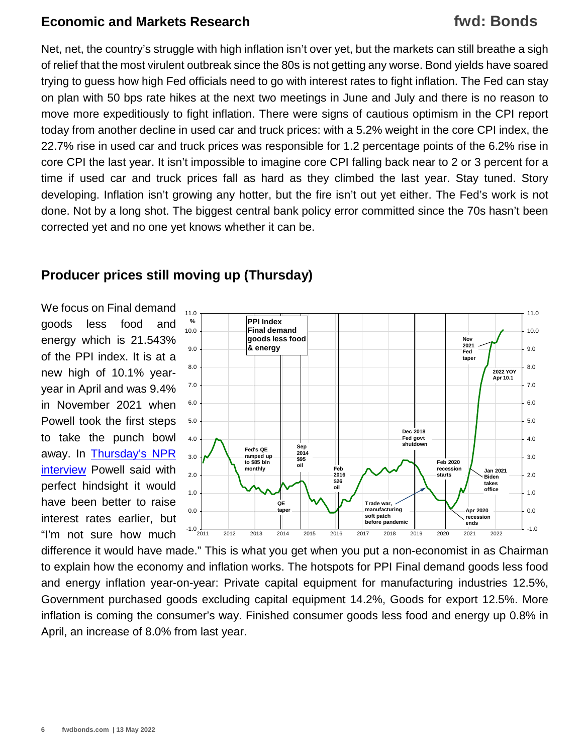## **fwd: Bonds**

Net, net, the country's struggle with high inflation isn't over yet, but the markets can still breathe a sigh of relief that the most virulent outbreak since the 80s is not getting any worse. Bond yields have soared trying to guess how high Fed officials need to go with interest rates to fight inflation. The Fed can stay on plan with 50 bps rate hikes at the next two meetings in June and July and there is no reason to move more expeditiously to fight inflation. There were signs of cautious optimism in the CPI report today from another decline in used car and truck prices: with a 5.2% weight in the core CPI index, the 22.7% rise in used car and truck prices was responsible for 1.2 percentage points of the 6.2% rise in core CPI the last year. It isn't impossible to imagine core CPI falling back near to 2 or 3 percent for a time if used car and truck prices fall as hard as they climbed the last year. Stay tuned. Story developing. Inflation isn't growing any hotter, but the fire isn't out yet either. The Fed's work is not done. Not by a long shot. The biggest central bank policy error committed since the 70s hasn't been corrected yet and no one yet knows whether it can be.

#### **Producer prices still moving up (Thursday)**

We focus on Final demand goods less food and energy which is 21.543% of the PPI index. It is at a new high of 10.1% yearyear in April and was 9.4% in November 2021 when Powell took the first steps to take the punch bowl away. In [Thursday's NPR](https://www.marketplace.org/2022/05/12/fed-chair-jerome-powell-controlling-inflation-will-include-some-pain/)  [interview](https://www.marketplace.org/2022/05/12/fed-chair-jerome-powell-controlling-inflation-will-include-some-pain/) Powell said with perfect hindsight it would have been better to raise interest rates earlier, but "I'm not sure how much



difference it would have made." This is what you get when you put a non-economist in as Chairman to explain how the economy and inflation works. The hotspots for PPI Final demand goods less food and energy inflation year-on-year: Private capital equipment for manufacturing industries 12.5%, Government purchased goods excluding capital equipment 14.2%, Goods for export 12.5%. More inflation is coming the consumer's way. Finished consumer goods less food and energy up 0.8% in April, an increase of 8.0% from last year.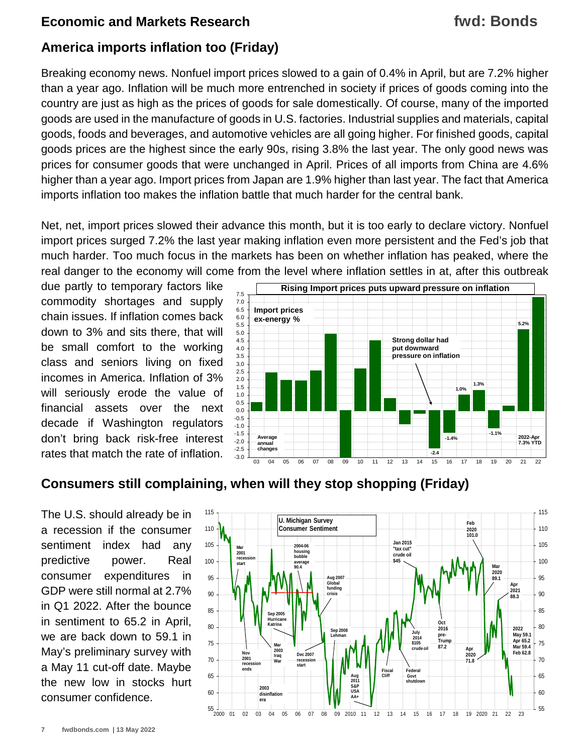## **fwd: Bonds**

#### **America imports inflation too (Friday)**

Breaking economy news. Nonfuel import prices slowed to a gain of 0.4% in April, but are 7.2% higher than a year ago. Inflation will be much more entrenched in society if prices of goods coming into the country are just as high as the prices of goods for sale domestically. Of course, many of the imported goods are used in the manufacture of goods in U.S. factories. Industrial supplies and materials, capital goods, foods and beverages, and automotive vehicles are all going higher. For finished goods, capital goods prices are the highest since the early 90s, rising 3.8% the last year. The only good news was prices for consumer goods that were unchanged in April. Prices of all imports from China are 4.6% higher than a year ago. Import prices from Japan are 1.9% higher than last year. The fact that America imports inflation too makes the inflation battle that much harder for the central bank.

Net, net, import prices slowed their advance this month, but it is too early to declare victory. Nonfuel import prices surged 7.2% the last year making inflation even more persistent and the Fed's job that much harder. Too much focus in the markets has been on whether inflation has peaked, where the real danger to the economy will come from the level where inflation settles in at, after this outbreak

due partly to temporary factors like commodity shortages and supply chain issues. If inflation comes back down to 3% and sits there, that will be small comfort to the working class and seniors living on fixed incomes in America. Inflation of 3% will seriously erode the value of financial assets over the next decade if Washington regulators don't bring back risk-free interest rates that match the rate of inflation.



#### **Consumers still complaining, when will they stop shopping (Friday)**

The U.S. should already be in a recession if the consumer sentiment index had any predictive power. Real consumer expenditures in GDP were still normal at 2.7% in Q1 2022. After the bounce in sentiment to 65.2 in April, we are back down to 59.1 in May's preliminary survey with a May 11 cut-off date. Maybe the new low in stocks hurt consumer confidence.